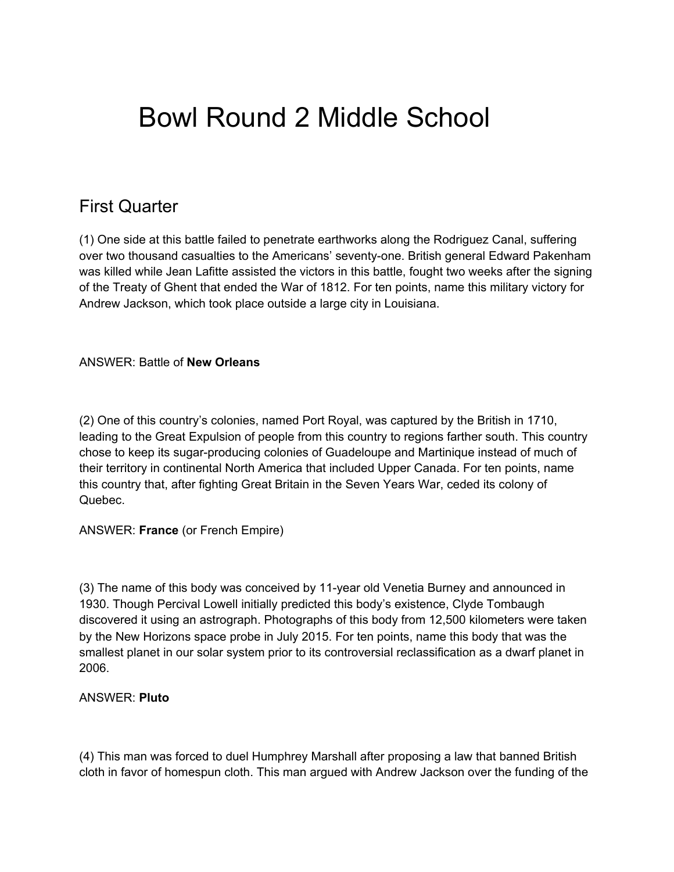# Bowl Round 2 Middle School

# First Quarter

(1) One side at this battle failed to penetrate earthworks along the Rodriguez Canal, suffering over two thousand casualties to the Americans' seventy-one. British general Edward Pakenham was killed while Jean Lafitte assisted the victors in this battle, fought two weeks after the signing of the Treaty of Ghent that ended the War of 1812. For ten points, name this military victory for Andrew Jackson, which took place outside a large city in Louisiana.

# ANSWER: Battle of **New Orleans**

(2) One of this country's colonies, named Port Royal, was captured by the British in 1710, leading to the Great Expulsion of people from this country to regions farther south. This country chose to keep its sugar-producing colonies of Guadeloupe and Martinique instead of much of their territory in continental North America that included Upper Canada. For ten points, name this country that, after fighting Great Britain in the Seven Years War, ceded its colony of Quebec.

#### ANSWER: **France** (or French Empire)

(3) The name of this body was conceived by 11-year old Venetia Burney and announced in 1930. Though Percival Lowell initially predicted this body's existence, Clyde Tombaugh discovered it using an astrograph. Photographs of this body from 12,500 kilometers were taken by the New Horizons space probe in July 2015. For ten points, name this body that was the smallest planet in our solar system prior to its controversial reclassification as a dwarf planet in 2006.

#### ANSWER: **Pluto**

(4) This man was forced to duel Humphrey Marshall after proposing a law that banned British cloth in favor of homespun cloth. This man argued with Andrew Jackson over the funding of the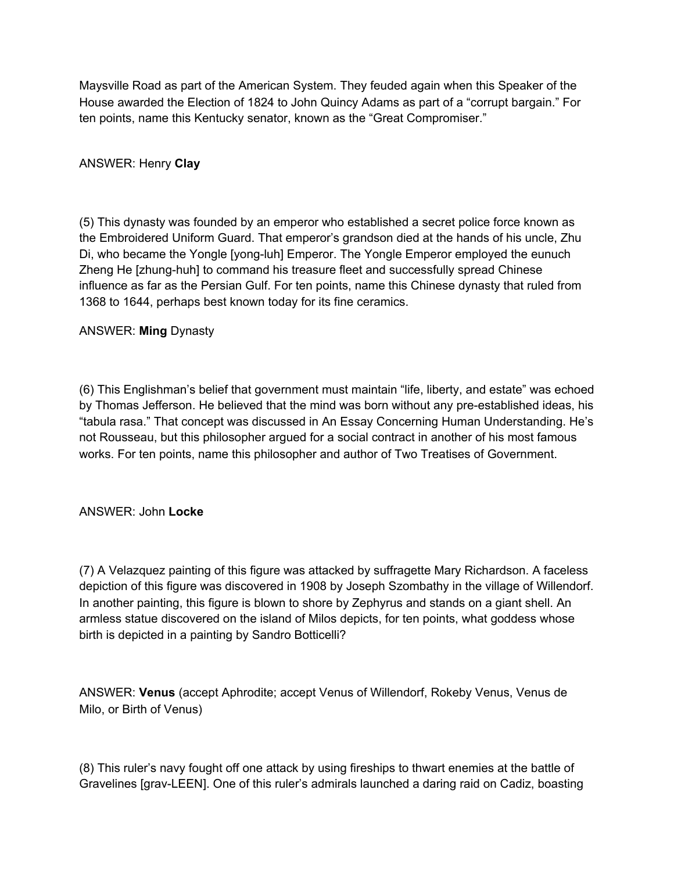Maysville Road as part of the American System. They feuded again when this Speaker of the House awarded the Election of 1824 to John Quincy Adams as part of a "corrupt bargain." For ten points, name this Kentucky senator, known as the "Great Compromiser."

# ANSWER: Henry **Clay**

(5) This dynasty was founded by an emperor who established a secret police force known as the Embroidered Uniform Guard. That emperor's grandson died at the hands of his uncle, Zhu Di, who became the Yongle [yong-luh] Emperor. The Yongle Emperor employed the eunuch Zheng He [zhung-huh] to command his treasure fleet and successfully spread Chinese influence as far as the Persian Gulf. For ten points, name this Chinese dynasty that ruled from 1368 to 1644, perhaps best known today for its fine ceramics.

# ANSWER: **Ming** Dynasty

(6) This Englishman's belief that government must maintain "life, liberty, and estate" was echoed by Thomas Jefferson. He believed that the mind was born without any pre-established ideas, his "tabula rasa." That concept was discussed in An Essay Concerning Human Understanding. He's not Rousseau, but this philosopher argued for a social contract in another of his most famous works. For ten points, name this philosopher and author of Two Treatises of Government.

# ANSWER: John **Locke**

(7) A Velazquez painting of this figure was attacked by suffragette Mary Richardson. A faceless depiction of this figure was discovered in 1908 by Joseph Szombathy in the village of Willendorf. In another painting, this figure is blown to shore by Zephyrus and stands on a giant shell. An armless statue discovered on the island of Milos depicts, for ten points, what goddess whose birth is depicted in a painting by Sandro Botticelli?

ANSWER: **Venus** (accept Aphrodite; accept Venus of Willendorf, Rokeby Venus, Venus de Milo, or Birth of Venus)

(8) This ruler's navy fought off one attack by using fireships to thwart enemies at the battle of Gravelines [grav-LEEN]. One of this ruler's admirals launched a daring raid on Cadiz, boasting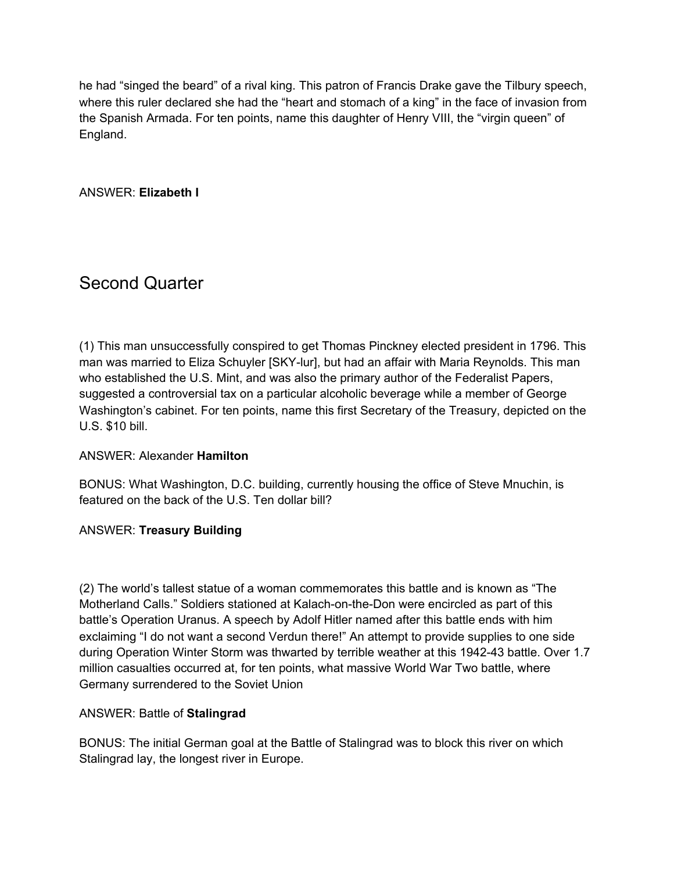he had "singed the beard" of a rival king. This patron of Francis Drake gave the Tilbury speech, where this ruler declared she had the "heart and stomach of a king" in the face of invasion from the Spanish Armada. For ten points, name this daughter of Henry VIII, the "virgin queen" of England.

ANSWER: **Elizabeth I**

# Second Quarter

(1) This man unsuccessfully conspired to get Thomas Pinckney elected president in 1796. This man was married to Eliza Schuyler [SKY-lur], but had an affair with Maria Reynolds. This man who established the U.S. Mint, and was also the primary author of the Federalist Papers, suggested a controversial tax on a particular alcoholic beverage while a member of George Washington's cabinet. For ten points, name this first Secretary of the Treasury, depicted on the U.S. \$10 bill.

# ANSWER: Alexander **Hamilton**

BONUS: What Washington, D.C. building, currently housing the office of Steve Mnuchin, is featured on the back of the U.S. Ten dollar bill?

# ANSWER: **Treasury Building**

(2) The world's tallest statue of a woman commemorates this battle and is known as "The Motherland Calls." Soldiers stationed at Kalach-on-the-Don were encircled as part of this battle's Operation Uranus. A speech by Adolf Hitler named after this battle ends with him exclaiming "I do not want a second Verdun there!" An attempt to provide supplies to one side during Operation Winter Storm was thwarted by terrible weather at this 1942-43 battle. Over 1.7 million casualties occurred at, for ten points, what massive World War Two battle, where Germany surrendered to the Soviet Union

#### ANSWER: Battle of **Stalingrad**

BONUS: The initial German goal at the Battle of Stalingrad was to block this river on which Stalingrad lay, the longest river in Europe.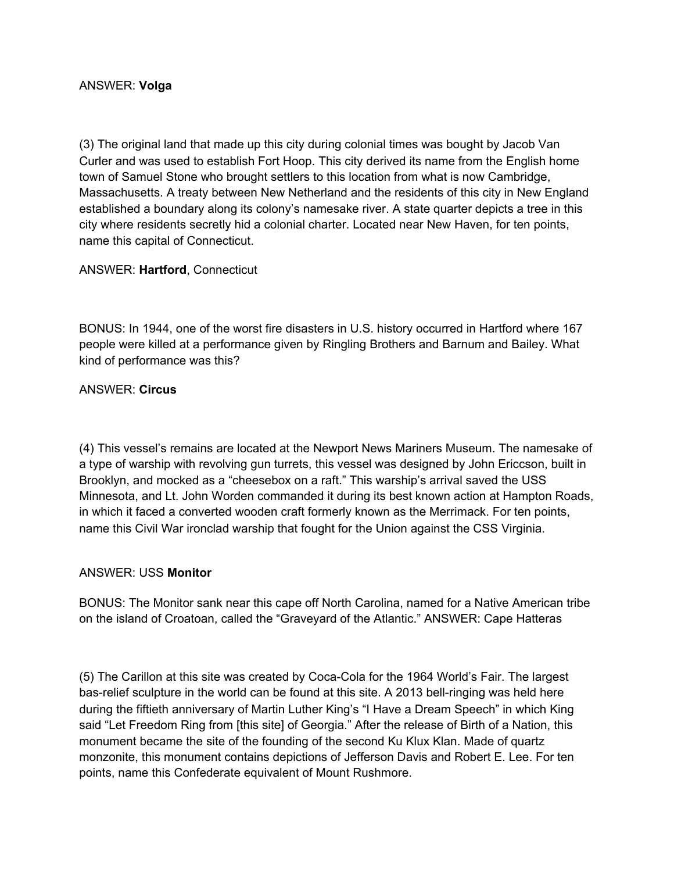## ANSWER: **Volga**

(3) The original land that made up this city during colonial times was bought by Jacob Van Curler and was used to establish Fort Hoop. This city derived its name from the English home town of Samuel Stone who brought settlers to this location from what is now Cambridge, Massachusetts. A treaty between New Netherland and the residents of this city in New England established a boundary along its colony's namesake river. A state quarter depicts a tree in this city where residents secretly hid a colonial charter. Located near New Haven, for ten points, name this capital of Connecticut.

# ANSWER: **Hartford**, Connecticut

BONUS: In 1944, one of the worst fire disasters in U.S. history occurred in Hartford where 167 people were killed at a performance given by Ringling Brothers and Barnum and Bailey. What kind of performance was this?

#### ANSWER: **Circus**

(4) This vessel's remains are located at the Newport News Mariners Museum. The namesake of a type of warship with revolving gun turrets, this vessel was designed by John Ericcson, built in Brooklyn, and mocked as a "cheesebox on a raft." This warship's arrival saved the USS Minnesota, and Lt. John Worden commanded it during its best known action at Hampton Roads, in which it faced a converted wooden craft formerly known as the Merrimack. For ten points, name this Civil War ironclad warship that fought for the Union against the CSS Virginia.

#### ANSWER: USS **Monitor**

BONUS: The Monitor sank near this cape off North Carolina, named for a Native American tribe on the island of Croatoan, called the "Graveyard of the Atlantic." ANSWER: Cape Hatteras

(5) The Carillon at this site was created by Coca-Cola for the 1964 World's Fair. The largest bas-relief sculpture in the world can be found at this site. A 2013 bell-ringing was held here during the fiftieth anniversary of Martin Luther King's "I Have a Dream Speech" in which King said "Let Freedom Ring from [this site] of Georgia." After the release of Birth of a Nation, this monument became the site of the founding of the second Ku Klux Klan. Made of quartz monzonite, this monument contains depictions of Jefferson Davis and Robert E. Lee. For ten points, name this Confederate equivalent of Mount Rushmore.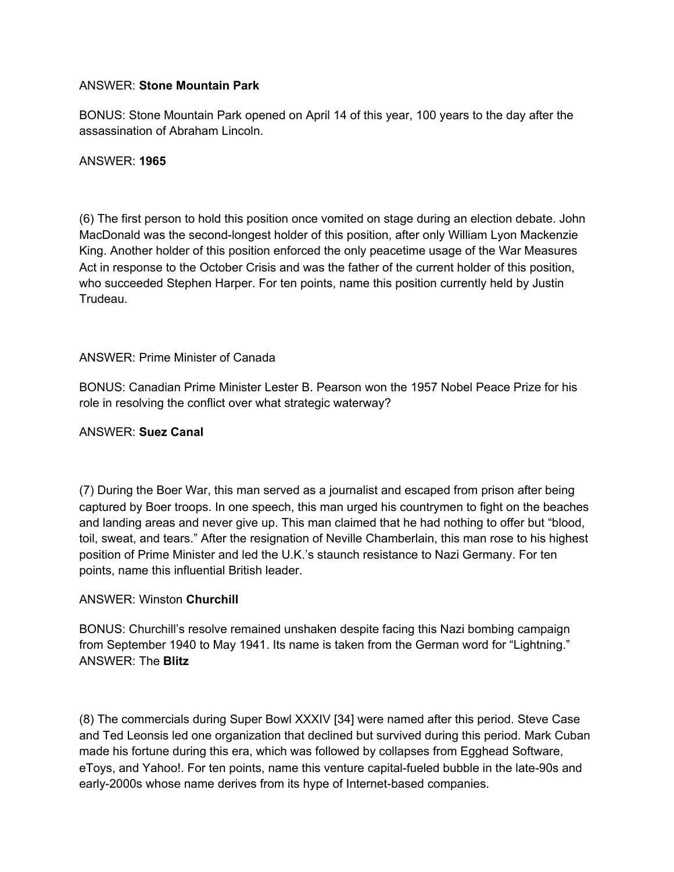# ANSWER: **Stone Mountain Park**

BONUS: Stone Mountain Park opened on April 14 of this year, 100 years to the day after the assassination of Abraham Lincoln.

## ANSWER: **1965**

(6) The first person to hold this position once vomited on stage during an election debate. John MacDonald was the second-longest holder of this position, after only William Lyon Mackenzie King. Another holder of this position enforced the only peacetime usage of the War Measures Act in response to the October Crisis and was the father of the current holder of this position, who succeeded Stephen Harper. For ten points, name this position currently held by Justin Trudeau.

# ANSWER: Prime Minister of Canada

BONUS: Canadian Prime Minister Lester B. Pearson won the 1957 Nobel Peace Prize for his role in resolving the conflict over what strategic waterway?

## ANSWER: **Suez Canal**

(7) During the Boer War, this man served as a journalist and escaped from prison after being captured by Boer troops. In one speech, this man urged his countrymen to fight on the beaches and landing areas and never give up. This man claimed that he had nothing to offer but "blood, toil, sweat, and tears." After the resignation of Neville Chamberlain, this man rose to his highest position of Prime Minister and led the U.K.'s staunch resistance to Nazi Germany. For ten points, name this influential British leader.

#### ANSWER: Winston **Churchill**

BONUS: Churchill's resolve remained unshaken despite facing this Nazi bombing campaign from September 1940 to May 1941. Its name is taken from the German word for "Lightning." ANSWER: The **Blitz**

(8) The commercials during Super Bowl XXXIV [34] were named after this period. Steve Case and Ted Leonsis led one organization that declined but survived during this period. Mark Cuban made his fortune during this era, which was followed by collapses from Egghead Software, eToys, and Yahoo!. For ten points, name this venture capital-fueled bubble in the late-90s and early-2000s whose name derives from its hype of Internet-based companies.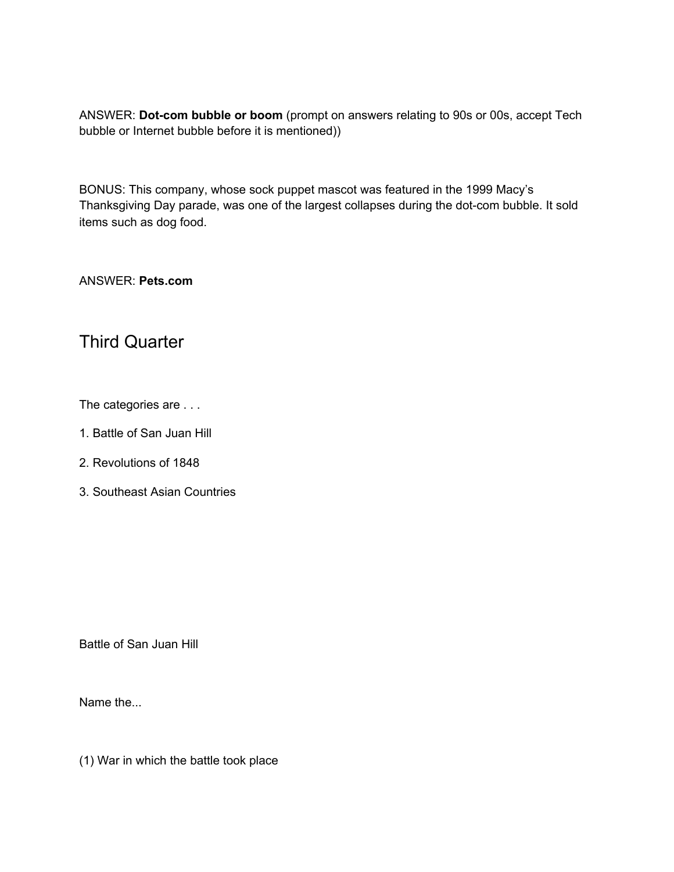ANSWER: **Dot-com bubble or boom** (prompt on answers relating to 90s or 00s, accept Tech bubble or Internet bubble before it is mentioned))

BONUS: This company, whose sock puppet mascot was featured in the 1999 Macy's Thanksgiving Day parade, was one of the largest collapses during the dot-com bubble. It sold items such as dog food.

ANSWER: **Pets.com**

# Third Quarter

The categories are . . .

- 1. Battle of San Juan Hill
- 2. Revolutions of 1848
- 3. Southeast Asian Countries

Battle of San Juan Hill

Name the...

(1) War in which the battle took place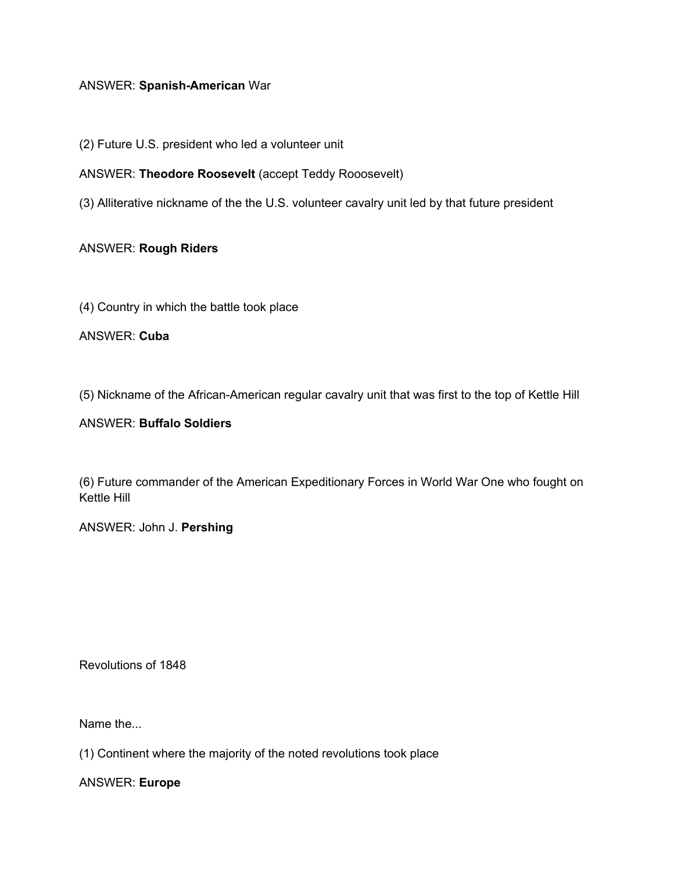# ANSWER: **Spanish-American** War

(2) Future U.S. president who led a volunteer unit

#### ANSWER: **Theodore Roosevelt** (accept Teddy Rooosevelt)

(3) Alliterative nickname of the the U.S. volunteer cavalry unit led by that future president

#### ANSWER: **Rough Riders**

(4) Country in which the battle took place

ANSWER: **Cuba**

(5) Nickname of the African-American regular cavalry unit that was first to the top of Kettle Hill

#### ANSWER: **Buffalo Soldiers**

(6) Future commander of the American Expeditionary Forces in World War One who fought on Kettle Hill

ANSWER: John J. **Pershing**

Revolutions of 1848

Name the...

(1) Continent where the majority of the noted revolutions took place

ANSWER: **Europe**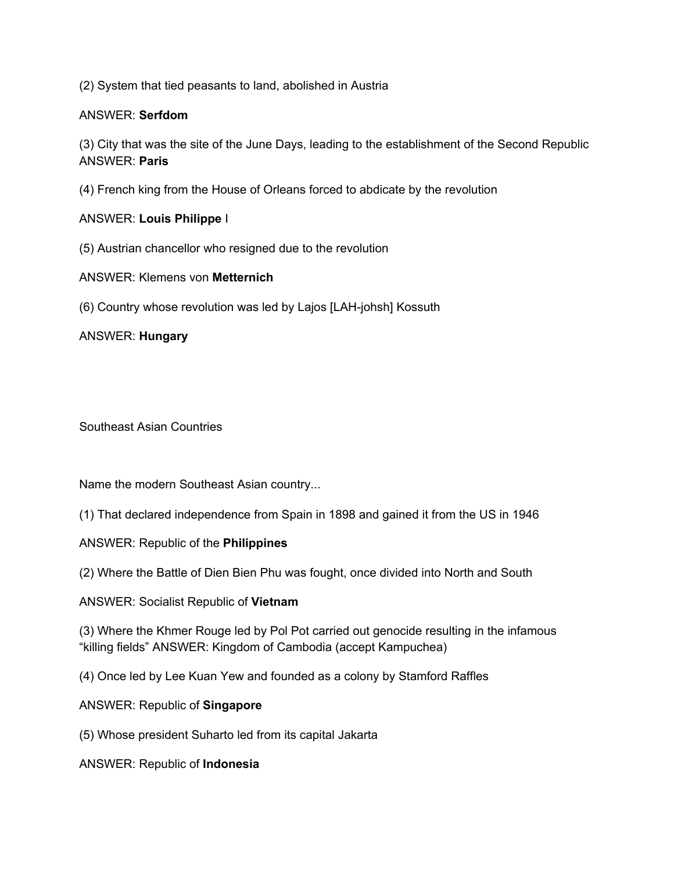(2) System that tied peasants to land, abolished in Austria

## ANSWER: **Serfdom**

(3) City that was the site of the June Days, leading to the establishment of the Second Republic ANSWER: **Paris**

(4) French king from the House of Orleans forced to abdicate by the revolution

# ANSWER: **Louis Philippe** I

- (5) Austrian chancellor who resigned due to the revolution
- ANSWER: Klemens von **Metternich**
- (6) Country whose revolution was led by Lajos [LAH-johsh] Kossuth

ANSWER: **Hungary**

Southeast Asian Countries

Name the modern Southeast Asian country...

(1) That declared independence from Spain in 1898 and gained it from the US in 1946

ANSWER: Republic of the **Philippines**

(2) Where the Battle of Dien Bien Phu was fought, once divided into North and South

ANSWER: Socialist Republic of **Vietnam**

(3) Where the Khmer Rouge led by Pol Pot carried out genocide resulting in the infamous "killing fields" ANSWER: Kingdom of Cambodia (accept Kampuchea)

(4) Once led by Lee Kuan Yew and founded as a colony by Stamford Raffles

ANSWER: Republic of **Singapore**

(5) Whose president Suharto led from its capital Jakarta

ANSWER: Republic of **Indonesia**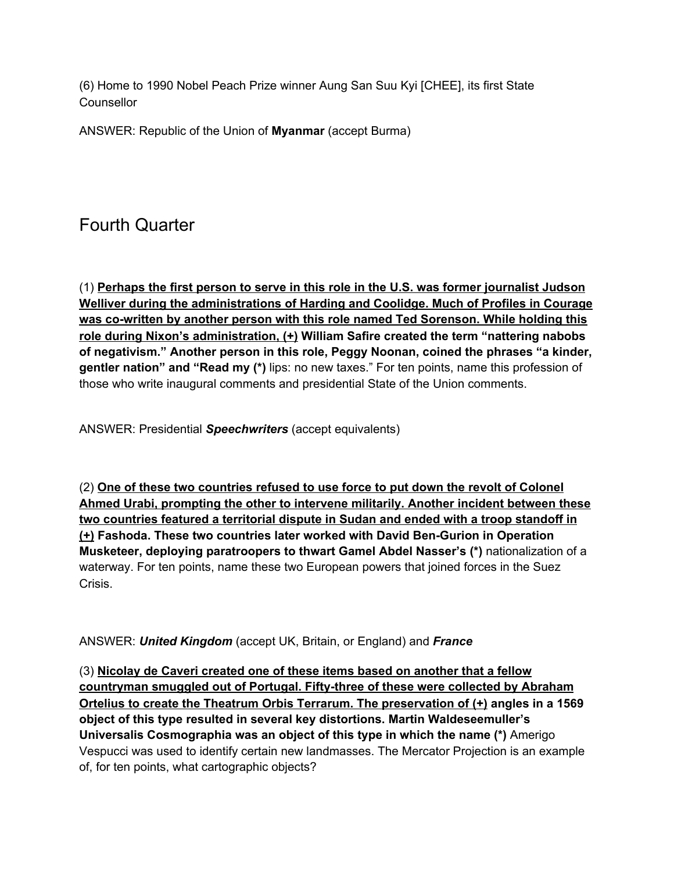(6) Home to 1990 Nobel Peach Prize winner Aung San Suu Kyi [CHEE], its first State **Counsellor** 

ANSWER: Republic of the Union of **Myanmar** (accept Burma)

# Fourth Quarter

(1) **Perhaps the first person to serve in this role in the U.S. was former journalist Judson Welliver during the administrations of Harding and Coolidge. Much of Profiles in Courage was co-written by another person with this role named Ted Sorenson. While holding this role during Nixon's administration, (+) William Safire created the term "nattering nabobs of negativism." Another person in this role, Peggy Noonan, coined the phrases "a kinder, gentler nation" and "Read my (\*)** lips: no new taxes." For ten points, name this profession of those who write inaugural comments and presidential State of the Union comments.

ANSWER: Presidential *Speechwriters* (accept equivalents)

(2) **One of these two countries refused to use force to put down the revolt of Colonel Ahmed Urabi, prompting the other to intervene militarily. Another incident between these two countries featured a territorial dispute in Sudan and ended with a troop standoff in (+) Fashoda. These two countries later worked with David Ben-Gurion in Operation Musketeer, deploying paratroopers to thwart Gamel Abdel Nasser's (\*)** nationalization of a waterway. For ten points, name these two European powers that joined forces in the Suez Crisis.

ANSWER: *United Kingdom* (accept UK, Britain, or England) and *France*

(3) **Nicolay de Caveri created one of these items based on another that a fellow countryman smuggled out of Portugal. Fifty-three of these were collected by Abraham Ortelius to create the Theatrum Orbis Terrarum. The preservation of (+) angles in a 1569 object of this type resulted in several key distortions. Martin Waldeseemuller's Universalis Cosmographia was an object of this type in which the name (\*)** Amerigo Vespucci was used to identify certain new landmasses. The Mercator Projection is an example of, for ten points, what cartographic objects?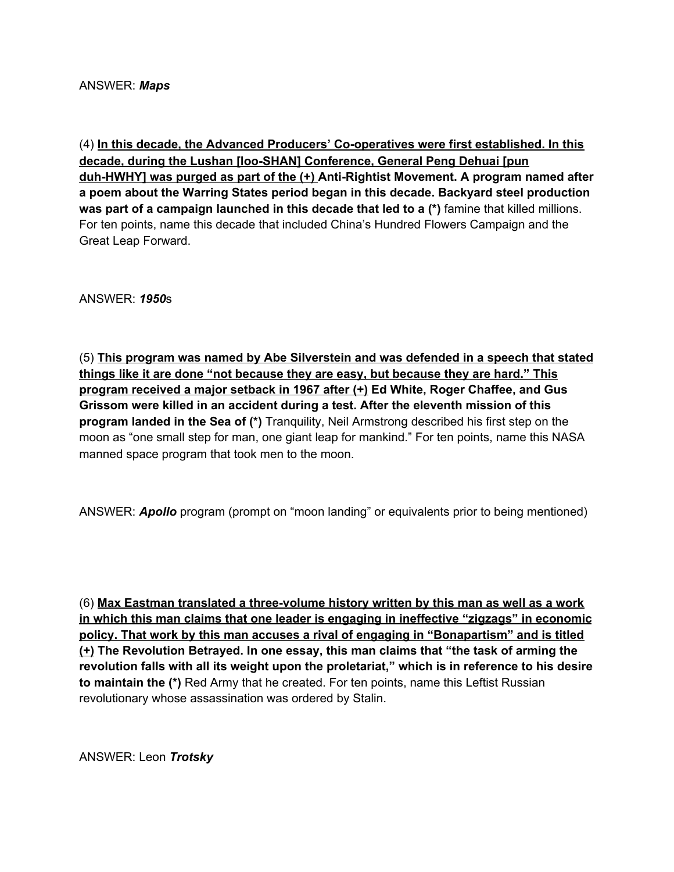(4) **In this decade, the Advanced Producers' Co-operatives were first established. In this decade, during the Lushan [loo-SHAN] Conference, General Peng Dehuai [pun duh-HWHY] was purged as part of the (+) Anti-Rightist Movement. A program named after a poem about the Warring States period began in this decade. Backyard steel production was part of a campaign launched in this decade that led to a (\*)** famine that killed millions. For ten points, name this decade that included China's Hundred Flowers Campaign and the Great Leap Forward.

ANSWER: *1950*s

(5) **This program was named by Abe Silverstein and was defended in a speech that stated things like it are done "not because they are easy, but because they are hard." This program received a major setback in 1967 after (+) Ed White, Roger Chaffee, and Gus Grissom were killed in an accident during a test. After the eleventh mission of this program landed in the Sea of (\*)** Tranquility, Neil Armstrong described his first step on the moon as "one small step for man, one giant leap for mankind." For ten points, name this NASA manned space program that took men to the moon.

ANSWER: *Apollo* program (prompt on "moon landing" or equivalents prior to being mentioned)

(6) **Max Eastman translated a three-volume history written by this man as well as a work in which this man claims that one leader is engaging in ineffective "zigzags" in economic policy. That work by this man accuses a rival of engaging in "Bonapartism" and is titled (+) The Revolution Betrayed. In one essay, this man claims that "the task of arming the revolution falls with all its weight upon the proletariat," which is in reference to his desire to maintain the (\*)** Red Army that he created. For ten points, name this Leftist Russian revolutionary whose assassination was ordered by Stalin.

ANSWER: Leon *Trotsky*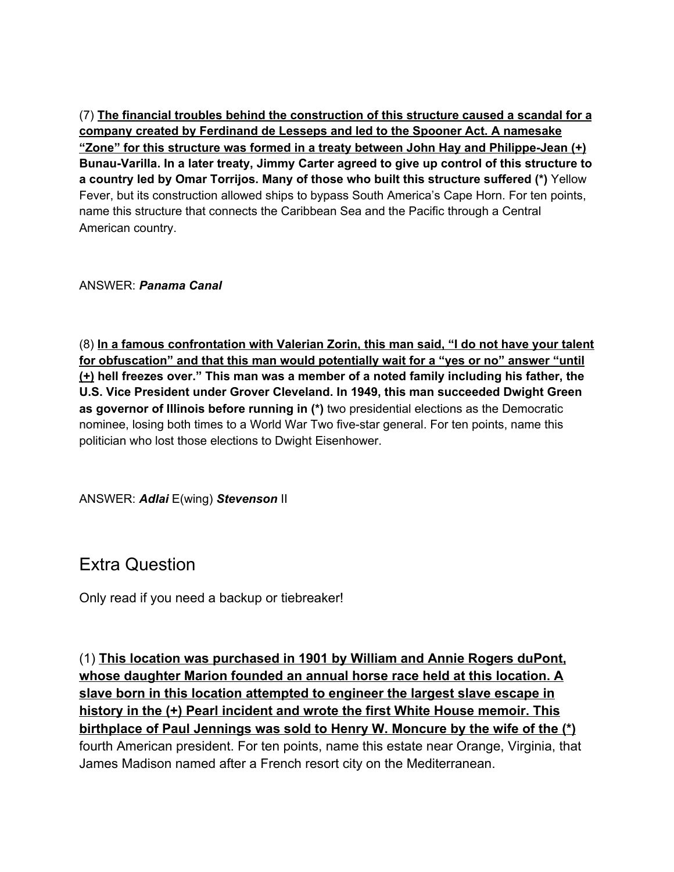(7) **The financial troubles behind the construction of this structure caused a scandal for a company created by Ferdinand de Lesseps and led to the Spooner Act. A namesake "Zone" for this structure was formed in a treaty between John Hay and Philippe-Jean (+) Bunau-Varilla. In a later treaty, Jimmy Carter agreed to give up control of this structure to a country led by Omar Torrijos. Many of those who built this structure suffered (\*)** Yellow Fever, but its construction allowed ships to bypass South America's Cape Horn. For ten points, name this structure that connects the Caribbean Sea and the Pacific through a Central American country.

ANSWER: *Panama Canal*

(8) **In a famous confrontation with Valerian Zorin, this man said, "I do not have your talent for obfuscation" and that this man would potentially wait for a "yes or no" answer "until (+) hell freezes over." This man was a member of a noted family including his father, the U.S. Vice President under Grover Cleveland. In 1949, this man succeeded Dwight Green as governor of Illinois before running in (\*)** two presidential elections as the Democratic nominee, losing both times to a World War Two five-star general. For ten points, name this politician who lost those elections to Dwight Eisenhower.

ANSWER: *Adlai* E(wing) *Stevenson* II

Extra Question

Only read if you need a backup or tiebreaker!

(1) **This location was purchased in 1901 by William and Annie Rogers duPont, whose daughter Marion founded an annual horse race held at this location. A slave born in this location attempted to engineer the largest slave escape in history in the (+) Pearl incident and wrote the first White House memoir. This birthplace of Paul Jennings was sold to Henry W. Moncure by the wife of the (\*)** fourth American president. For ten points, name this estate near Orange, Virginia, that James Madison named after a French resort city on the Mediterranean.